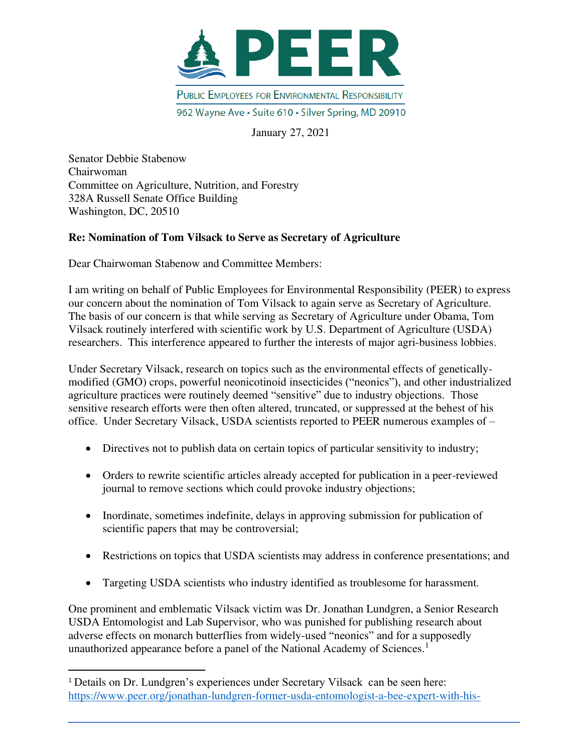

January 27, 2021

Senator Debbie Stabenow Chairwoman Committee on Agriculture, Nutrition, and Forestry 328A Russell Senate Office Building Washington, DC, 20510

## **Re: Nomination of Tom Vilsack to Serve as Secretary of Agriculture**

Dear Chairwoman Stabenow and Committee Members:

I am writing on behalf of Public Employees for Environmental Responsibility (PEER) to express our concern about the nomination of Tom Vilsack to again serve as Secretary of Agriculture. The basis of our concern is that while serving as Secretary of Agriculture under Obama, Tom Vilsack routinely interfered with scientific work by U.S. Department of Agriculture (USDA) researchers. This interference appeared to further the interests of major agri-business lobbies.

Under Secretary Vilsack, research on topics such as the environmental effects of geneticallymodified (GMO) crops, powerful neonicotinoid insecticides ("neonics"), and other industrialized agriculture practices were routinely deemed "sensitive" due to industry objections. Those sensitive research efforts were then often altered, truncated, or suppressed at the behest of his office. Under Secretary Vilsack, USDA scientists reported to PEER numerous examples of –

- Directives not to publish data on certain topics of particular sensitivity to industry;
- Orders to rewrite scientific articles already accepted for publication in a peer-reviewed journal to remove sections which could provoke industry objections;
- Inordinate, sometimes indefinite, delays in approving submission for publication of scientific papers that may be controversial;
- Restrictions on topics that USDA scientists may address in conference presentations; and
- Targeting USDA scientists who industry identified as troublesome for harassment.

One prominent and emblematic Vilsack victim was Dr. Jonathan Lundgren, a Senior Research USDA Entomologist and Lab Supervisor, who was punished for publishing research about adverse effects on monarch butterflies from widely-used "neonics" and for a supposedly unauthorized appearance before a panel of the National Academy of Sciences.<sup>1</sup>

<sup>&</sup>lt;sup>1</sup> Details on Dr. Lundgren's experiences under Secretary Vilsack can be seen here: [https://www.peer.org/jonathan-lundgren-former-usda-entomologist-a-bee-expert-with-his-](https://www.peer.org/jonathan-lundgren-former-usda-entomologist-a-bee-expert-with-his-integrity-intact/)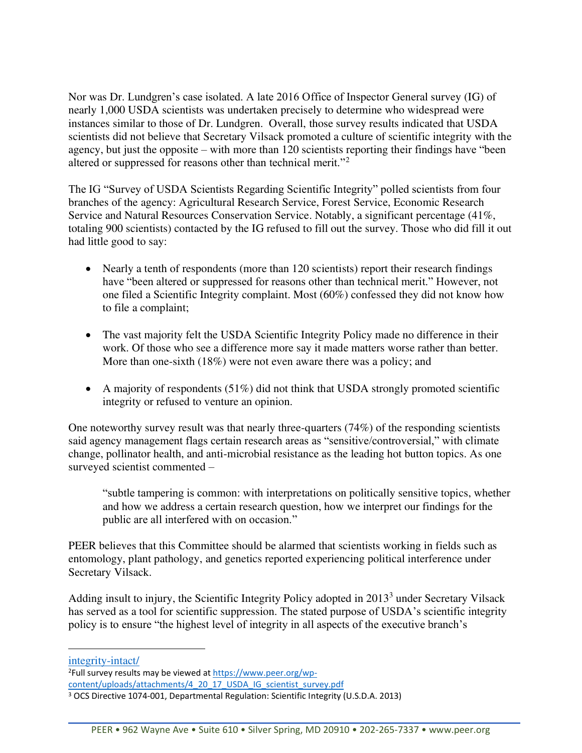Nor was Dr. Lundgren's case isolated. A late 2016 Office of Inspector General survey (IG) of nearly 1,000 USDA scientists was undertaken precisely to determine who widespread were instances similar to those of Dr. Lundgren. Overall, those survey results indicated that USDA scientists did not believe that Secretary Vilsack promoted a culture of scientific integrity with the agency, but just the opposite – with more than 120 scientists reporting their findings have "been altered or suppressed for reasons other than technical merit."<sup>2</sup>

The IG "Survey of USDA Scientists Regarding Scientific Integrity" polled scientists from four branches of the agency: Agricultural Research Service, Forest Service, Economic Research Service and Natural Resources Conservation Service. Notably, a significant percentage (41%, totaling 900 scientists) contacted by the IG refused to fill out the survey. Those who did fill it out had little good to say:

- Nearly a tenth of respondents (more than 120 scientists) report their research findings have "been altered or suppressed for reasons other than technical merit." However, not one filed a Scientific Integrity complaint. Most (60%) confessed they did not know how to file a complaint;
- The vast majority felt the USDA Scientific Integrity Policy made no difference in their work. Of those who see a difference more say it made matters worse rather than better. More than one-sixth (18%) were not even aware there was a policy; and
- A majority of respondents  $(51\%)$  did not think that USDA strongly promoted scientific integrity or refused to venture an opinion.

One noteworthy survey result was that nearly three-quarters (74%) of the responding scientists said agency management flags certain research areas as "sensitive/controversial," with climate change, pollinator health, and anti-microbial resistance as the leading hot button topics. As one surveyed scientist commented –

"subtle tampering is common: with interpretations on politically sensitive topics, whether and how we address a certain research question, how we interpret our findings for the public are all interfered with on occasion."

PEER believes that this Committee should be alarmed that scientists working in fields such as entomology, plant pathology, and genetics reported experiencing political interference under Secretary Vilsack.

Adding insult to injury, the Scientific Integrity Policy adopted in 2013<sup>3</sup> under Secretary Vilsack has served as a tool for scientific suppression. The stated purpose of USDA's scientific integrity policy is to ensure "the highest level of integrity in all aspects of the executive branch's

[integrity-intact/](https://www.peer.org/jonathan-lundgren-former-usda-entomologist-a-bee-expert-with-his-integrity-intact/)

<sup>2</sup>Full survey results may be viewed at [https://www.peer.org/wp](https://www.peer.org/wp-content/uploads/attachments/4_20_17_USDA_IG_scientist_survey.pdf)[content/uploads/attachments/4\\_20\\_17\\_USDA\\_IG\\_scientist\\_survey.pdf](https://www.peer.org/wp-content/uploads/attachments/4_20_17_USDA_IG_scientist_survey.pdf) 

<sup>&</sup>lt;sup>3</sup> OCS Directive 1074-001, Departmental Regulation: Scientific Integrity (U.S.D.A. 2013)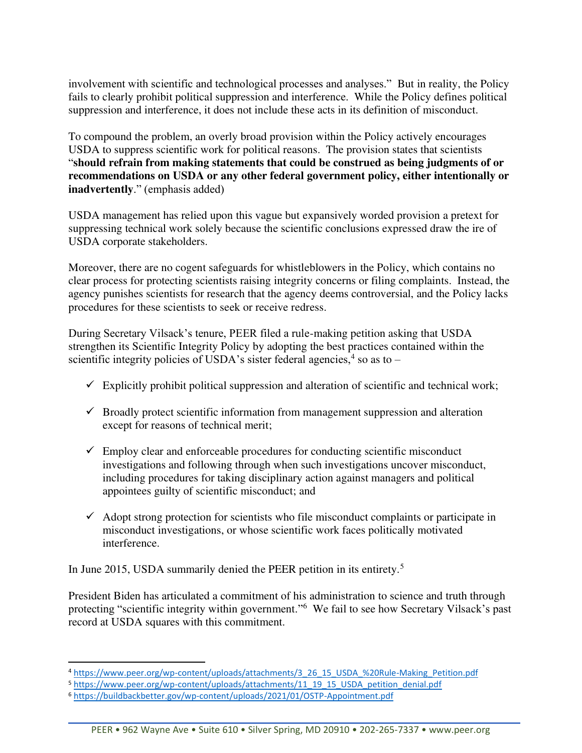involvement with scientific and technological processes and analyses." But in reality, the Policy fails to clearly prohibit political suppression and interference. While the Policy defines political suppression and interference, it does not include these acts in its definition of misconduct.

To compound the problem, an overly broad provision within the Policy actively encourages USDA to suppress scientific work for political reasons. The provision states that scientists "**should refrain from making statements that could be construed as being judgments of or recommendations on USDA or any other federal government policy, either intentionally or inadvertently**." (emphasis added)

USDA management has relied upon this vague but expansively worded provision a pretext for suppressing technical work solely because the scientific conclusions expressed draw the ire of USDA corporate stakeholders.

Moreover, there are no cogent safeguards for whistleblowers in the Policy, which contains no clear process for protecting scientists raising integrity concerns or filing complaints. Instead, the agency punishes scientists for research that the agency deems controversial, and the Policy lacks procedures for these scientists to seek or receive redress.

During Secretary Vilsack's tenure, PEER filed a rule-making petition asking that USDA strengthen its Scientific Integrity Policy by adopting the best practices contained within the scientific integrity policies of USDA's sister federal agencies,<sup>4</sup> so as to  $-$ 

- $\checkmark$  Explicitly prohibit political suppression and alteration of scientific and technical work;
- $\checkmark$  Broadly protect scientific information from management suppression and alteration except for reasons of technical merit;
- $\checkmark$  Employ clear and enforceable procedures for conducting scientific misconduct investigations and following through when such investigations uncover misconduct, including procedures for taking disciplinary action against managers and political appointees guilty of scientific misconduct; and
- $\checkmark$  Adopt strong protection for scientists who file misconduct complaints or participate in misconduct investigations, or whose scientific work faces politically motivated interference.

In June 2015, USDA summarily denied the PEER petition in its entirety.<sup>5</sup>

President Biden has articulated a commitment of his administration to science and truth through protecting "scientific integrity within government."<sup>6</sup> We fail to see how Secretary Vilsack's past record at USDA squares with this commitment.

<sup>4</sup> [https://www.peer.org/wp-content/uploads/attachments/3\\_26\\_15\\_USDA\\_%20Rule-Making\\_Petition.pdf](https://www.peer.org/wp-content/uploads/attachments/3_26_15_USDA_%20Rule-Making_Petition.pdf) 

<sup>5</sup> [https://www.peer.org/wp-content/uploads/attachments/11\\_19\\_15\\_USDA\\_petition\\_denial.pdf](https://www.peer.org/wp-content/uploads/attachments/11_19_15_USDA_petition_denial.pdf) 

<sup>6</sup> <https://buildbackbetter.gov/wp-content/uploads/2021/01/OSTP-Appointment.pdf>